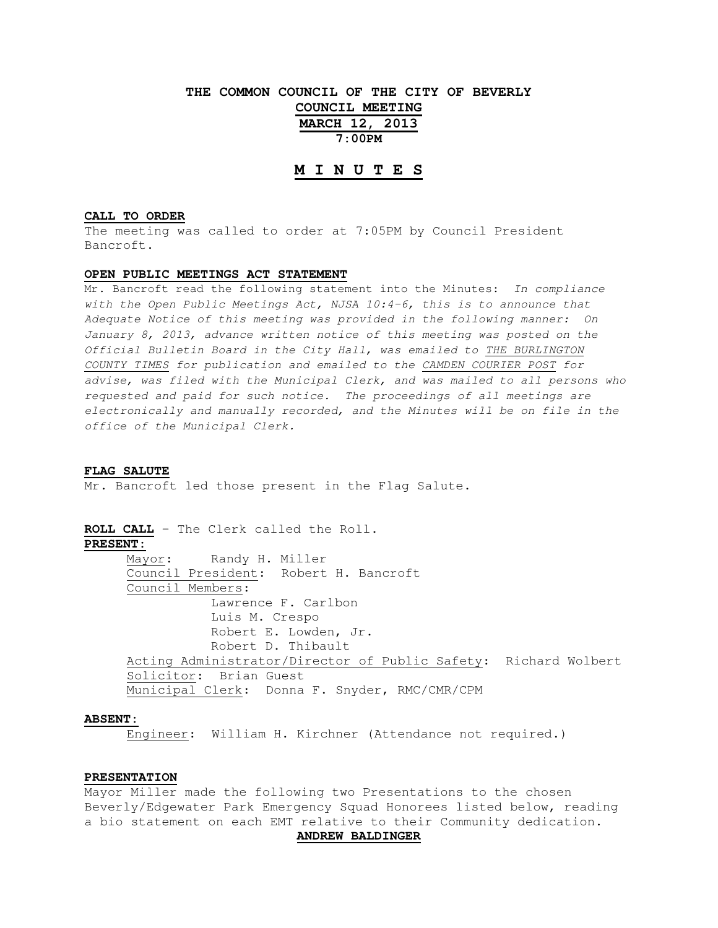# **THE COMMON COUNCIL OF THE CITY OF BEVERLY COUNCIL MEETING MARCH 12, 2013 7:00PM**

## **M I N U T E S**

### **CALL TO ORDER**

The meeting was called to order at 7:05PM by Council President Bancroft.

#### **OPEN PUBLIC MEETINGS ACT STATEMENT**

Mr. Bancroft read the following statement into the Minutes: In compliance with the Open Public Meetings Act, NJSA 10:4-6, this is to announce that Adequate Notice of this meeting was provided in the following manner: On January 8, 2013, advance written notice of this meeting was posted on the Official Bulletin Board in the City Hall, was emailed to THE BURLINGTON COUNTY TIMES for publication and emailed to the CAMDEN COURIER POST for advise, was filed with the Municipal Clerk, and was mailed to all persons who requested and paid for such notice. The proceedings of all meetings are electronically and manually recorded, and the Minutes will be on file in the office of the Municipal Clerk.

#### **FLAG SALUTE**

Mr. Bancroft led those present in the Flag Salute.

**ROLL CALL** – The Clerk called the Roll. **PRESENT:** Mayor: Randy H. Miller Council President: Robert H. Bancroft Council Members: Lawrence F. Carlbon Luis M. Crespo Robert E. Lowden, Jr. Robert D. Thibault

 Acting Administrator/Director of Public Safety: Richard Wolbert Solicitor: Brian Guest Municipal Clerk: Donna F. Snyder, RMC/CMR/CPM

### **ABSENT:**

Engineer: William H. Kirchner (Attendance not required.)

### **PRESENTATION**

Mayor Miller made the following two Presentations to the chosen Beverly/Edgewater Park Emergency Squad Honorees listed below, reading a bio statement on each EMT relative to their Community dedication.

### **ANDREW BALDINGER**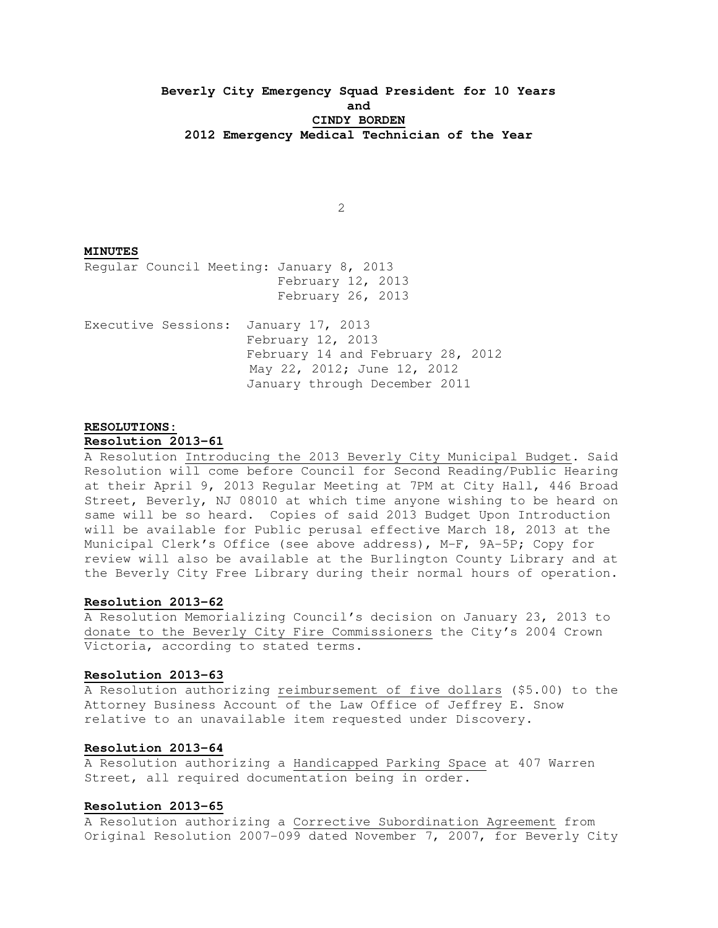# **Beverly City Emergency Squad President for 10 Years and CINDY BORDEN 2012 Emergency Medical Technician of the Year**

2

### **MINUTES**

Regular Council Meeting: January 8, 2013 February 12, 2013 February 26, 2013

Executive Sessions: January 17, 2013 February 12, 2013 February 14 and February 28, 2012 May 22, 2012; June 12, 2012 January through December 2011

## **RESOLUTIONS:**

#### **Resolution 2013-61**

A Resolution Introducing the 2013 Beverly City Municipal Budget. Said Resolution will come before Council for Second Reading/Public Hearing at their April 9, 2013 Regular Meeting at 7PM at City Hall, 446 Broad Street, Beverly, NJ 08010 at which time anyone wishing to be heard on same will be so heard. Copies of said 2013 Budget Upon Introduction will be available for Public perusal effective March 18, 2013 at the Municipal Clerk's Office (see above address), M-F, 9A-5P; Copy for review will also be available at the Burlington County Library and at the Beverly City Free Library during their normal hours of operation.

### **Resolution 2013-62**

A Resolution Memorializing Council's decision on January 23, 2013 to donate to the Beverly City Fire Commissioners the City's 2004 Crown Victoria, according to stated terms.

### **Resolution 2013-63**

A Resolution authorizing reimbursement of five dollars (\$5.00) to the Attorney Business Account of the Law Office of Jeffrey E. Snow relative to an unavailable item requested under Discovery.

## **Resolution 2013-64**

A Resolution authorizing a Handicapped Parking Space at 407 Warren Street, all required documentation being in order.

#### **Resolution 2013-65**

A Resolution authorizing a Corrective Subordination Agreement from Original Resolution 2007-099 dated November 7, 2007, for Beverly City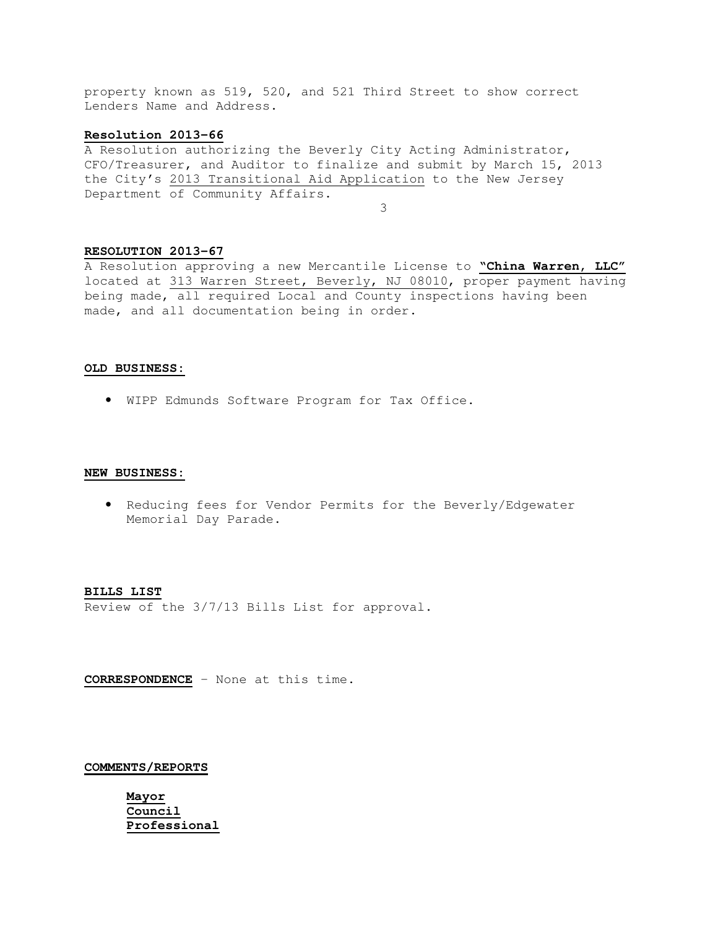property known as 519, 520, and 521 Third Street to show correct Lenders Name and Address.

### **Resolution 2013-66**

A Resolution authorizing the Beverly City Acting Administrator, CFO/Treasurer, and Auditor to finalize and submit by March 15, 2013 the City's 2013 Transitional Aid Application to the New Jersey Department of Community Affairs. 3

### **RESOLUTION 2013-67**

A Resolution approving a new Mercantile License to **"China Warren, LLC"** located at 313 Warren Street, Beverly, NJ 08010, proper payment having being made, all required Local and County inspections having been made, and all documentation being in order.

### **OLD BUSINESS:**

• WIPP Edmunds Software Program for Tax Office.

#### **NEW BUSINESS:**

• Reducing fees for Vendor Permits for the Beverly/Edgewater Memorial Day Parade.

#### **BILLS LIST**

Review of the 3/7/13 Bills List for approval.

**CORRESPONDENCE** – None at this time.

#### **COMMENTS/REPORTS**

 **Mayor Council Professional**